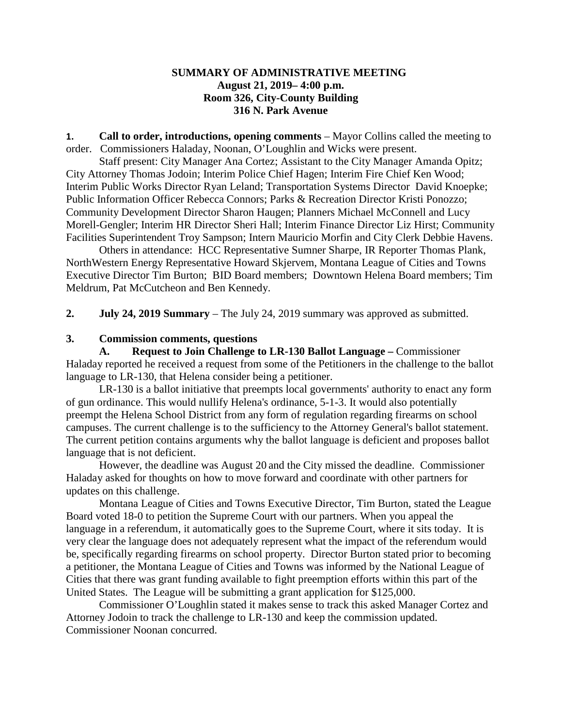## **SUMMARY OF ADMINISTRATIVE MEETING August 21, 2019– 4:00 p.m. Room 326, City-County Building 316 N. Park Avenue**

**1. Call to order, introductions, opening comments** – Mayor Collins called the meeting to order. Commissioners Haladay, Noonan, O'Loughlin and Wicks were present.

Staff present: City Manager Ana Cortez; Assistant to the City Manager Amanda Opitz; City Attorney Thomas Jodoin; Interim Police Chief Hagen; Interim Fire Chief Ken Wood; Interim Public Works Director Ryan Leland; Transportation Systems Director David Knoepke; Public Information Officer Rebecca Connors; Parks & Recreation Director Kristi Ponozzo; Community Development Director Sharon Haugen; Planners Michael McConnell and Lucy Morell-Gengler; Interim HR Director Sheri Hall; Interim Finance Director Liz Hirst; Community Facilities Superintendent Troy Sampson; Intern Mauricio Morfin and City Clerk Debbie Havens.

Others in attendance: HCC Representative Sumner Sharpe, IR Reporter Thomas Plank, NorthWestern Energy Representative Howard Skjervem, Montana League of Cities and Towns Executive Director Tim Burton; BID Board members; Downtown Helena Board members; Tim Meldrum, Pat McCutcheon and Ben Kennedy.

**2. July 24, 2019 Summary** – The July 24, 2019 summary was approved as submitted.

## **3. Commission comments, questions**

**A. Request to Join Challenge to LR-130 Ballot Language –** Commissioner Haladay reported he received a request from some of the Petitioners in the challenge to the ballot language to LR-130, that Helena consider being a petitioner.

LR-130 is a ballot initiative that preempts local governments' authority to enact any form of gun ordinance. This would nullify Helena's ordinance, 5-1-3. It would also potentially preempt the Helena School District from any form of regulation regarding firearms on school campuses. The current challenge is to the sufficiency to the Attorney General's ballot statement. The current petition contains arguments why the ballot language is deficient and proposes ballot language that is not deficient.

However, the deadline was August 20 and the City missed the deadline. Commissioner Haladay asked for thoughts on how to move forward and coordinate with other partners for updates on this challenge.

Montana League of Cities and Towns Executive Director, Tim Burton, stated the League Board voted 18-0 to petition the Supreme Court with our partners. When you appeal the language in a referendum, it automatically goes to the Supreme Court, where it sits today. It is very clear the language does not adequately represent what the impact of the referendum would be, specifically regarding firearms on school property. Director Burton stated prior to becoming a petitioner, the Montana League of Cities and Towns was informed by the National League of Cities that there was grant funding available to fight preemption efforts within this part of the United States. The League will be submitting a grant application for \$125,000.

Commissioner O'Loughlin stated it makes sense to track this asked Manager Cortez and Attorney Jodoin to track the challenge to LR-130 and keep the commission updated. Commissioner Noonan concurred.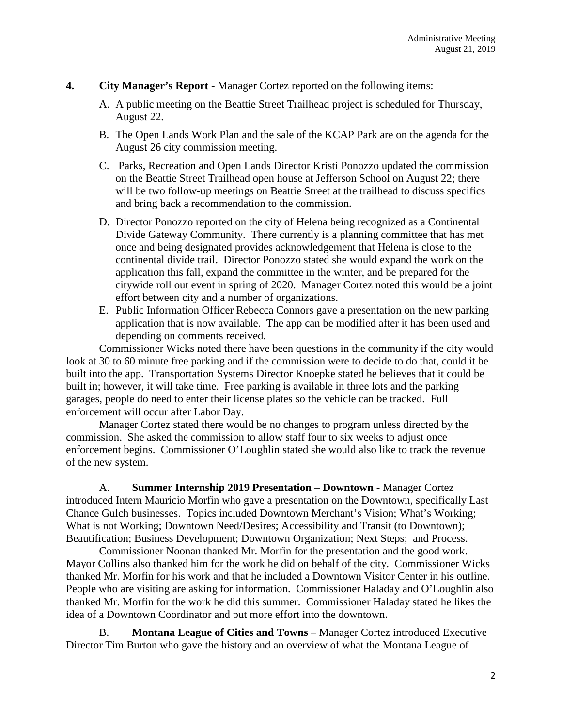- **4. City Manager's Report** Manager Cortez reported on the following items:
	- A. A public meeting on the Beattie Street Trailhead project is scheduled for Thursday, August 22.
	- B. The Open Lands Work Plan and the sale of the KCAP Park are on the agenda for the August 26 city commission meeting.
	- C. Parks, Recreation and Open Lands Director Kristi Ponozzo updated the commission on the Beattie Street Trailhead open house at Jefferson School on August 22; there will be two follow-up meetings on Beattie Street at the trailhead to discuss specifics and bring back a recommendation to the commission.
	- D. Director Ponozzo reported on the city of Helena being recognized as a Continental Divide Gateway Community. There currently is a planning committee that has met once and being designated provides acknowledgement that Helena is close to the continental divide trail. Director Ponozzo stated she would expand the work on the application this fall, expand the committee in the winter, and be prepared for the citywide roll out event in spring of 2020. Manager Cortez noted this would be a joint effort between city and a number of organizations.
	- E. Public Information Officer Rebecca Connors gave a presentation on the new parking application that is now available. The app can be modified after it has been used and depending on comments received.

Commissioner Wicks noted there have been questions in the community if the city would look at 30 to 60 minute free parking and if the commission were to decide to do that, could it be built into the app. Transportation Systems Director Knoepke stated he believes that it could be built in; however, it will take time. Free parking is available in three lots and the parking garages, people do need to enter their license plates so the vehicle can be tracked. Full enforcement will occur after Labor Day.

Manager Cortez stated there would be no changes to program unless directed by the commission. She asked the commission to allow staff four to six weeks to adjust once enforcement begins. Commissioner O'Loughlin stated she would also like to track the revenue of the new system.

A. **Summer Internship 2019 Presentation** – **Downtown** - Manager Cortez introduced Intern Mauricio Morfin who gave a presentation on the Downtown, specifically Last Chance Gulch businesses. Topics included Downtown Merchant's Vision; What's Working; What is not Working; Downtown Need/Desires; Accessibility and Transit (to Downtown); Beautification; Business Development; Downtown Organization; Next Steps; and Process.

Commissioner Noonan thanked Mr. Morfin for the presentation and the good work. Mayor Collins also thanked him for the work he did on behalf of the city. Commissioner Wicks thanked Mr. Morfin for his work and that he included a Downtown Visitor Center in his outline. People who are visiting are asking for information. Commissioner Haladay and O'Loughlin also thanked Mr. Morfin for the work he did this summer. Commissioner Haladay stated he likes the idea of a Downtown Coordinator and put more effort into the downtown.

B. **Montana League of Cities and Towns** – Manager Cortez introduced Executive Director Tim Burton who gave the history and an overview of what the Montana League of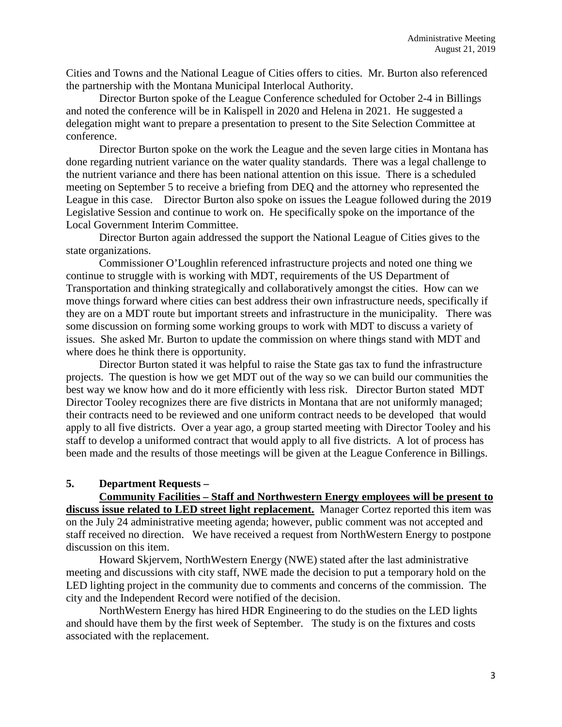Cities and Towns and the National League of Cities offers to cities. Mr. Burton also referenced the partnership with the Montana Municipal Interlocal Authority.

Director Burton spoke of the League Conference scheduled for October 2-4 in Billings and noted the conference will be in Kalispell in 2020 and Helena in 2021. He suggested a delegation might want to prepare a presentation to present to the Site Selection Committee at conference.

Director Burton spoke on the work the League and the seven large cities in Montana has done regarding nutrient variance on the water quality standards. There was a legal challenge to the nutrient variance and there has been national attention on this issue. There is a scheduled meeting on September 5 to receive a briefing from DEQ and the attorney who represented the League in this case. Director Burton also spoke on issues the League followed during the 2019 Legislative Session and continue to work on. He specifically spoke on the importance of the Local Government Interim Committee.

Director Burton again addressed the support the National League of Cities gives to the state organizations.

Commissioner O'Loughlin referenced infrastructure projects and noted one thing we continue to struggle with is working with MDT, requirements of the US Department of Transportation and thinking strategically and collaboratively amongst the cities. How can we move things forward where cities can best address their own infrastructure needs, specifically if they are on a MDT route but important streets and infrastructure in the municipality. There was some discussion on forming some working groups to work with MDT to discuss a variety of issues. She asked Mr. Burton to update the commission on where things stand with MDT and where does he think there is opportunity.

Director Burton stated it was helpful to raise the State gas tax to fund the infrastructure projects. The question is how we get MDT out of the way so we can build our communities the best way we know how and do it more efficiently with less risk. Director Burton stated MDT Director Tooley recognizes there are five districts in Montana that are not uniformly managed; their contracts need to be reviewed and one uniform contract needs to be developed that would apply to all five districts. Over a year ago, a group started meeting with Director Tooley and his staff to develop a uniformed contract that would apply to all five districts. A lot of process has been made and the results of those meetings will be given at the League Conference in Billings.

#### **5. Department Requests –**

**Community Facilities – Staff and Northwestern Energy employees will be present to discuss issue related to LED street light replacement.** Manager Cortez reported this item was on the July 24 administrative meeting agenda; however, public comment was not accepted and staff received no direction. We have received a request from NorthWestern Energy to postpone discussion on this item.

Howard Skjervem, NorthWestern Energy (NWE) stated after the last administrative meeting and discussions with city staff, NWE made the decision to put a temporary hold on the LED lighting project in the community due to comments and concerns of the commission. The city and the Independent Record were notified of the decision.

NorthWestern Energy has hired HDR Engineering to do the studies on the LED lights and should have them by the first week of September. The study is on the fixtures and costs associated with the replacement.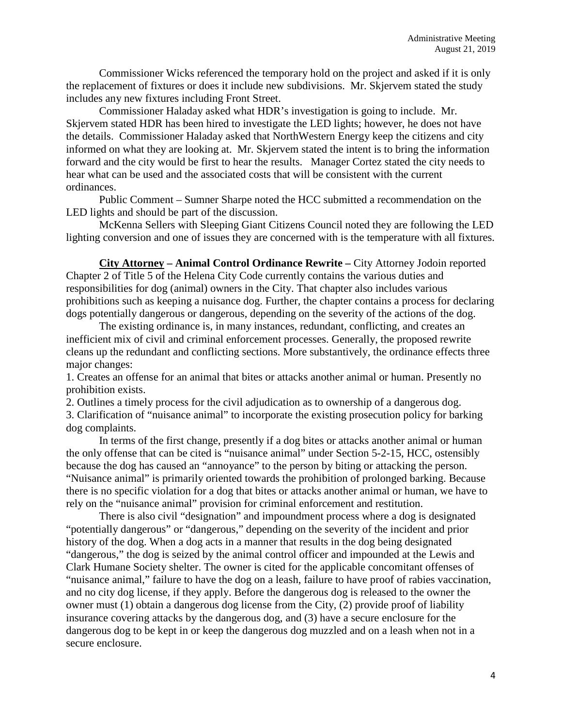Commissioner Wicks referenced the temporary hold on the project and asked if it is only the replacement of fixtures or does it include new subdivisions. Mr. Skjervem stated the study includes any new fixtures including Front Street.

Commissioner Haladay asked what HDR's investigation is going to include. Mr. Skjervem stated HDR has been hired to investigate the LED lights; however, he does not have the details. Commissioner Haladay asked that NorthWestern Energy keep the citizens and city informed on what they are looking at. Mr. Skjervem stated the intent is to bring the information forward and the city would be first to hear the results. Manager Cortez stated the city needs to hear what can be used and the associated costs that will be consistent with the current ordinances.

Public Comment – Sumner Sharpe noted the HCC submitted a recommendation on the LED lights and should be part of the discussion.

McKenna Sellers with Sleeping Giant Citizens Council noted they are following the LED lighting conversion and one of issues they are concerned with is the temperature with all fixtures.

**City Attorney – Animal Control Ordinance Rewrite –** City Attorney Jodoin reported Chapter 2 of Title 5 of the Helena City Code currently contains the various duties and responsibilities for dog (animal) owners in the City. That chapter also includes various prohibitions such as keeping a nuisance dog. Further, the chapter contains a process for declaring dogs potentially dangerous or dangerous, depending on the severity of the actions of the dog.

The existing ordinance is, in many instances, redundant, conflicting, and creates an inefficient mix of civil and criminal enforcement processes. Generally, the proposed rewrite cleans up the redundant and conflicting sections. More substantively, the ordinance effects three major changes:

1. Creates an offense for an animal that bites or attacks another animal or human. Presently no prohibition exists.

2. Outlines a timely process for the civil adjudication as to ownership of a dangerous dog.

3. Clarification of "nuisance animal" to incorporate the existing prosecution policy for barking dog complaints.

In terms of the first change, presently if a dog bites or attacks another animal or human the only offense that can be cited is "nuisance animal" under Section 5-2-15, HCC, ostensibly because the dog has caused an "annoyance" to the person by biting or attacking the person. "Nuisance animal" is primarily oriented towards the prohibition of prolonged barking. Because there is no specific violation for a dog that bites or attacks another animal or human, we have to rely on the "nuisance animal" provision for criminal enforcement and restitution.

There is also civil "designation" and impoundment process where a dog is designated "potentially dangerous" or "dangerous," depending on the severity of the incident and prior history of the dog. When a dog acts in a manner that results in the dog being designated "dangerous," the dog is seized by the animal control officer and impounded at the Lewis and Clark Humane Society shelter. The owner is cited for the applicable concomitant offenses of "nuisance animal," failure to have the dog on a leash, failure to have proof of rabies vaccination, and no city dog license, if they apply. Before the dangerous dog is released to the owner the owner must (1) obtain a dangerous dog license from the City, (2) provide proof of liability insurance covering attacks by the dangerous dog, and (3) have a secure enclosure for the dangerous dog to be kept in or keep the dangerous dog muzzled and on a leash when not in a secure enclosure.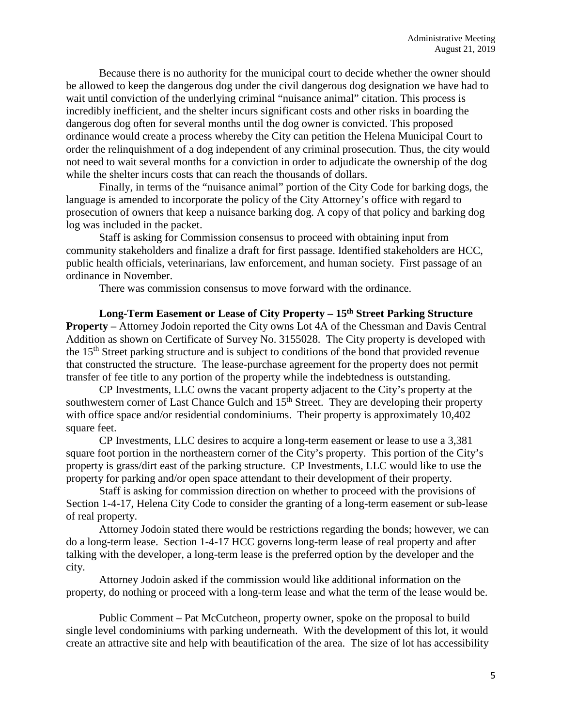Because there is no authority for the municipal court to decide whether the owner should be allowed to keep the dangerous dog under the civil dangerous dog designation we have had to wait until conviction of the underlying criminal "nuisance animal" citation. This process is incredibly inefficient, and the shelter incurs significant costs and other risks in boarding the dangerous dog often for several months until the dog owner is convicted. This proposed ordinance would create a process whereby the City can petition the Helena Municipal Court to order the relinquishment of a dog independent of any criminal prosecution. Thus, the city would not need to wait several months for a conviction in order to adjudicate the ownership of the dog while the shelter incurs costs that can reach the thousands of dollars.

Finally, in terms of the "nuisance animal" portion of the City Code for barking dogs, the language is amended to incorporate the policy of the City Attorney's office with regard to prosecution of owners that keep a nuisance barking dog. A copy of that policy and barking dog log was included in the packet.

Staff is asking for Commission consensus to proceed with obtaining input from community stakeholders and finalize a draft for first passage. Identified stakeholders are HCC, public health officials, veterinarians, law enforcement, and human society. First passage of an ordinance in November.

There was commission consensus to move forward with the ordinance.

**Long-Term Easement or Lease of City Property – 15th Street Parking Structure Property –** Attorney Jodoin reported the City owns Lot 4A of the Chessman and Davis Central Addition as shown on Certificate of Survey No. 3155028. The City property is developed with the 15<sup>th</sup> Street parking structure and is subject to conditions of the bond that provided revenue that constructed the structure. The lease-purchase agreement for the property does not permit transfer of fee title to any portion of the property while the indebtedness is outstanding.

CP Investments, LLC owns the vacant property adjacent to the City's property at the southwestern corner of Last Chance Gulch and  $15<sup>th</sup>$  Street. They are developing their property with office space and/or residential condominiums. Their property is approximately 10,402 square feet.

CP Investments, LLC desires to acquire a long-term easement or lease to use a 3,381 square foot portion in the northeastern corner of the City's property. This portion of the City's property is grass/dirt east of the parking structure. CP Investments, LLC would like to use the property for parking and/or open space attendant to their development of their property.

Staff is asking for commission direction on whether to proceed with the provisions of Section 1-4-17, Helena City Code to consider the granting of a long-term easement or sub-lease of real property.

Attorney Jodoin stated there would be restrictions regarding the bonds; however, we can do a long-term lease. Section 1-4-17 HCC governs long-term lease of real property and after talking with the developer, a long-term lease is the preferred option by the developer and the city.

Attorney Jodoin asked if the commission would like additional information on the property, do nothing or proceed with a long-term lease and what the term of the lease would be.

Public Comment – Pat McCutcheon, property owner, spoke on the proposal to build single level condominiums with parking underneath. With the development of this lot, it would create an attractive site and help with beautification of the area. The size of lot has accessibility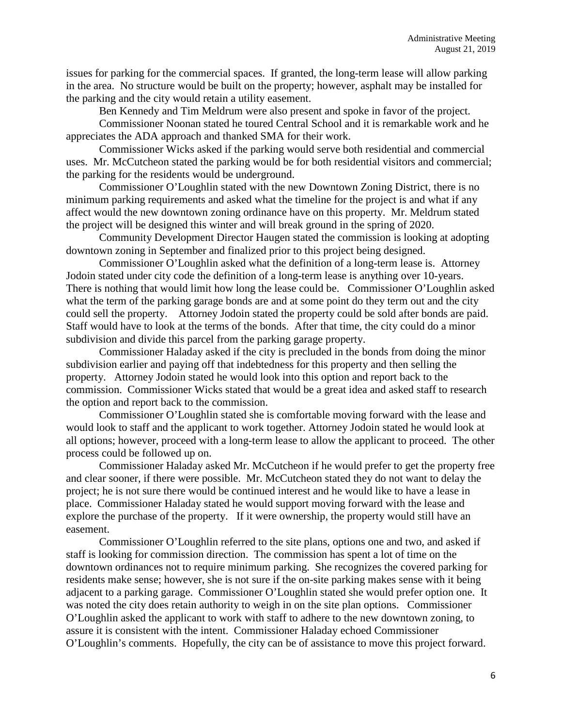issues for parking for the commercial spaces. If granted, the long-term lease will allow parking in the area. No structure would be built on the property; however, asphalt may be installed for the parking and the city would retain a utility easement.

Ben Kennedy and Tim Meldrum were also present and spoke in favor of the project.

Commissioner Noonan stated he toured Central School and it is remarkable work and he appreciates the ADA approach and thanked SMA for their work.

Commissioner Wicks asked if the parking would serve both residential and commercial uses. Mr. McCutcheon stated the parking would be for both residential visitors and commercial; the parking for the residents would be underground.

Commissioner O'Loughlin stated with the new Downtown Zoning District, there is no minimum parking requirements and asked what the timeline for the project is and what if any affect would the new downtown zoning ordinance have on this property. Mr. Meldrum stated the project will be designed this winter and will break ground in the spring of 2020.

Community Development Director Haugen stated the commission is looking at adopting downtown zoning in September and finalized prior to this project being designed.

Commissioner O'Loughlin asked what the definition of a long-term lease is. Attorney Jodoin stated under city code the definition of a long-term lease is anything over 10-years. There is nothing that would limit how long the lease could be. Commissioner O'Loughlin asked what the term of the parking garage bonds are and at some point do they term out and the city could sell the property. Attorney Jodoin stated the property could be sold after bonds are paid. Staff would have to look at the terms of the bonds. After that time, the city could do a minor subdivision and divide this parcel from the parking garage property.

Commissioner Haladay asked if the city is precluded in the bonds from doing the minor subdivision earlier and paying off that indebtedness for this property and then selling the property. Attorney Jodoin stated he would look into this option and report back to the commission. Commissioner Wicks stated that would be a great idea and asked staff to research the option and report back to the commission.

Commissioner O'Loughlin stated she is comfortable moving forward with the lease and would look to staff and the applicant to work together. Attorney Jodoin stated he would look at all options; however, proceed with a long-term lease to allow the applicant to proceed. The other process could be followed up on.

Commissioner Haladay asked Mr. McCutcheon if he would prefer to get the property free and clear sooner, if there were possible. Mr. McCutcheon stated they do not want to delay the project; he is not sure there would be continued interest and he would like to have a lease in place. Commissioner Haladay stated he would support moving forward with the lease and explore the purchase of the property. If it were ownership, the property would still have an easement.

Commissioner O'Loughlin referred to the site plans, options one and two, and asked if staff is looking for commission direction. The commission has spent a lot of time on the downtown ordinances not to require minimum parking. She recognizes the covered parking for residents make sense; however, she is not sure if the on-site parking makes sense with it being adjacent to a parking garage. Commissioner O'Loughlin stated she would prefer option one. It was noted the city does retain authority to weigh in on the site plan options. Commissioner O'Loughlin asked the applicant to work with staff to adhere to the new downtown zoning, to assure it is consistent with the intent. Commissioner Haladay echoed Commissioner O'Loughlin's comments. Hopefully, the city can be of assistance to move this project forward.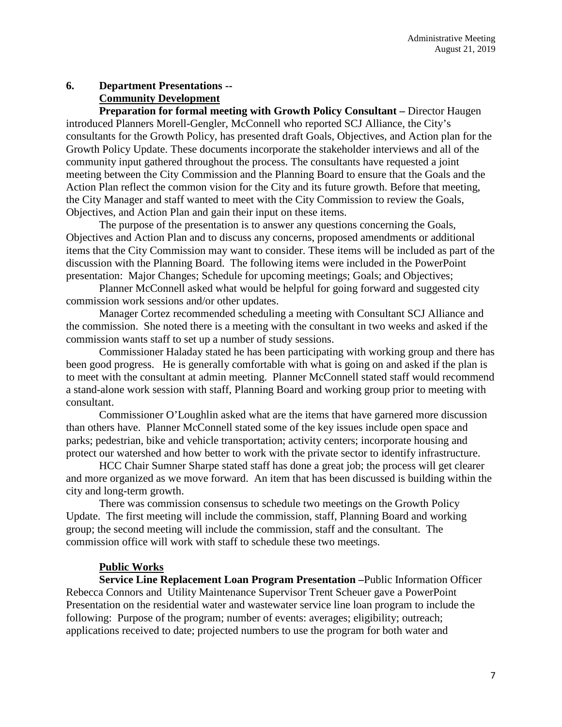# **6. Department Presentations -- Community Development**

**Preparation for formal meeting with Growth Policy Consultant –** Director Haugen introduced Planners Morell-Gengler, McConnell who reported SCJ Alliance, the City's consultants for the Growth Policy, has presented draft Goals, Objectives, and Action plan for the Growth Policy Update. These documents incorporate the stakeholder interviews and all of the community input gathered throughout the process. The consultants have requested a joint meeting between the City Commission and the Planning Board to ensure that the Goals and the Action Plan reflect the common vision for the City and its future growth. Before that meeting, the City Manager and staff wanted to meet with the City Commission to review the Goals, Objectives, and Action Plan and gain their input on these items.

The purpose of the presentation is to answer any questions concerning the Goals, Objectives and Action Plan and to discuss any concerns, proposed amendments or additional items that the City Commission may want to consider. These items will be included as part of the discussion with the Planning Board. The following items were included in the PowerPoint presentation: Major Changes; Schedule for upcoming meetings; Goals; and Objectives;

Planner McConnell asked what would be helpful for going forward and suggested city commission work sessions and/or other updates.

Manager Cortez recommended scheduling a meeting with Consultant SCJ Alliance and the commission. She noted there is a meeting with the consultant in two weeks and asked if the commission wants staff to set up a number of study sessions.

Commissioner Haladay stated he has been participating with working group and there has been good progress. He is generally comfortable with what is going on and asked if the plan is to meet with the consultant at admin meeting. Planner McConnell stated staff would recommend a stand-alone work session with staff, Planning Board and working group prior to meeting with consultant.

Commissioner O'Loughlin asked what are the items that have garnered more discussion than others have. Planner McConnell stated some of the key issues include open space and parks; pedestrian, bike and vehicle transportation; activity centers; incorporate housing and protect our watershed and how better to work with the private sector to identify infrastructure.

HCC Chair Sumner Sharpe stated staff has done a great job; the process will get clearer and more organized as we move forward. An item that has been discussed is building within the city and long-term growth.

There was commission consensus to schedule two meetings on the Growth Policy Update. The first meeting will include the commission, staff, Planning Board and working group; the second meeting will include the commission, staff and the consultant. The commission office will work with staff to schedule these two meetings.

## **Public Works**

**Service Line Replacement Loan Program Presentation –**Public Information Officer Rebecca Connors and Utility Maintenance Supervisor Trent Scheuer gave a PowerPoint Presentation on the residential water and wastewater service line loan program to include the following: Purpose of the program; number of events: averages; eligibility; outreach; applications received to date; projected numbers to use the program for both water and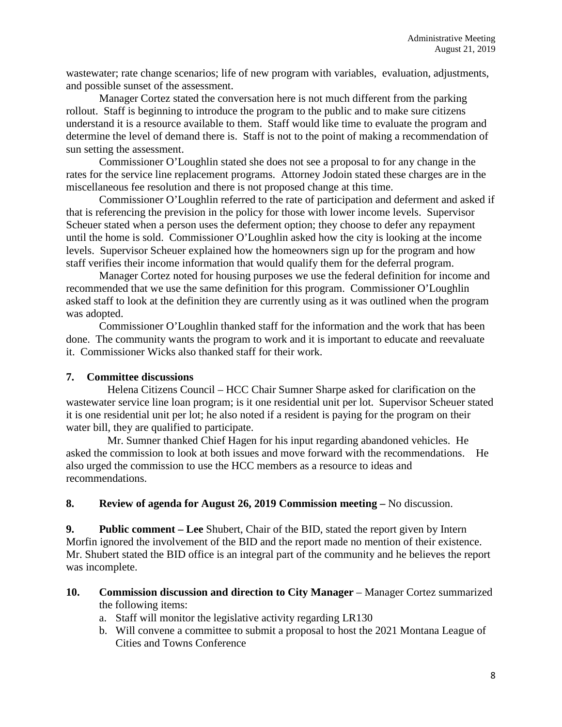wastewater; rate change scenarios; life of new program with variables, evaluation, adjustments, and possible sunset of the assessment.

Manager Cortez stated the conversation here is not much different from the parking rollout. Staff is beginning to introduce the program to the public and to make sure citizens understand it is a resource available to them. Staff would like time to evaluate the program and determine the level of demand there is. Staff is not to the point of making a recommendation of sun setting the assessment.

Commissioner O'Loughlin stated she does not see a proposal to for any change in the rates for the service line replacement programs. Attorney Jodoin stated these charges are in the miscellaneous fee resolution and there is not proposed change at this time.

Commissioner O'Loughlin referred to the rate of participation and deferment and asked if that is referencing the prevision in the policy for those with lower income levels. Supervisor Scheuer stated when a person uses the deferment option; they choose to defer any repayment until the home is sold. Commissioner O'Loughlin asked how the city is looking at the income levels. Supervisor Scheuer explained how the homeowners sign up for the program and how staff verifies their income information that would qualify them for the deferral program.

Manager Cortez noted for housing purposes we use the federal definition for income and recommended that we use the same definition for this program. Commissioner O'Loughlin asked staff to look at the definition they are currently using as it was outlined when the program was adopted.

Commissioner O'Loughlin thanked staff for the information and the work that has been done. The community wants the program to work and it is important to educate and reevaluate it. Commissioner Wicks also thanked staff for their work.

## **7. Committee discussions**

Helena Citizens Council – HCC Chair Sumner Sharpe asked for clarification on the wastewater service line loan program; is it one residential unit per lot. Supervisor Scheuer stated it is one residential unit per lot; he also noted if a resident is paying for the program on their water bill, they are qualified to participate.

Mr. Sumner thanked Chief Hagen for his input regarding abandoned vehicles. He asked the commission to look at both issues and move forward with the recommendations. He also urged the commission to use the HCC members as a resource to ideas and recommendations.

## **8. Review of agenda for August 26, 2019 Commission meeting –** No discussion.

**9. Public comment – Lee** Shubert, Chair of the BID, stated the report given by Intern Morfin ignored the involvement of the BID and the report made no mention of their existence. Mr. Shubert stated the BID office is an integral part of the community and he believes the report was incomplete.

## **10. Commission discussion and direction to City Manager** – Manager Cortez summarized the following items:

- a. Staff will monitor the legislative activity regarding LR130
- b. Will convene a committee to submit a proposal to host the 2021 Montana League of Cities and Towns Conference